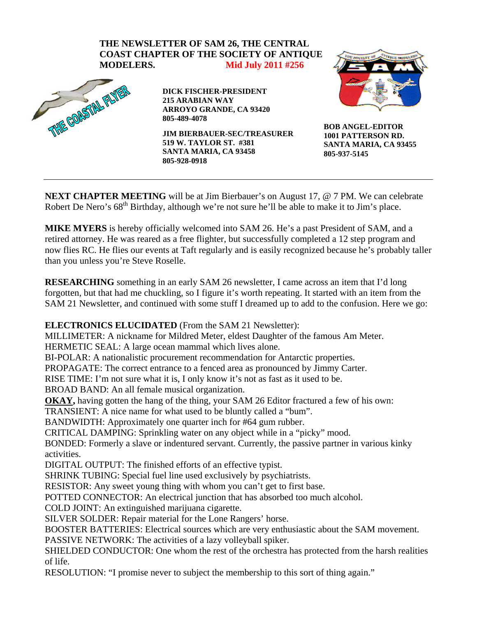

**NEXT CHAPTER MEETING** will be at Jim Bierbauer's on August 17, @ 7 PM. We can celebrate Robert De Nero's 68<sup>th</sup> Birthday, although we're not sure he'll be able to make it to Jim's place.

**MIKE MYERS** is hereby officially welcomed into SAM 26. He's a past President of SAM, and a retired attorney. He was reared as a free flighter, but successfully completed a 12 step program and now flies RC. He flies our events at Taft regularly and is easily recognized because he's probably taller than you unless you're Steve Roselle.

**RESEARCHING** something in an early SAM 26 newsletter, I came across an item that I'd long forgotten, but that had me chuckling, so I figure it's worth repeating. It started with an item from the SAM 21 Newsletter, and continued with some stuff I dreamed up to add to the confusion. Here we go:

## **ELECTRONICS ELUCIDATED** (From the SAM 21 Newsletter):

MILLIMETER: A nickname for Mildred Meter, eldest Daughter of the famous Am Meter.

HERMETIC SEAL: A large ocean mammal which lives alone.

BI-POLAR: A nationalistic procurement recommendation for Antarctic properties.

PROPAGATE: The correct entrance to a fenced area as pronounced by Jimmy Carter.

RISE TIME: I'm not sure what it is, I only know it's not as fast as it used to be.

BROAD BAND: An all female musical organization.

**OKAY,** having gotten the hang of the thing, your SAM 26 Editor fractured a few of his own:

TRANSIENT: A nice name for what used to be bluntly called a "bum".

BANDWIDTH: Approximately one quarter inch for #64 gum rubber.

CRITICAL DAMPING: Sprinkling water on any object while in a "picky" mood.

BONDED: Formerly a slave or indentured servant. Currently, the passive partner in various kinky activities.

DIGITAL OUTPUT: The finished efforts of an effective typist.

SHRINK TUBING: Special fuel line used exclusively by psychiatrists.

RESISTOR: Any sweet young thing with whom you can't get to first base.

POTTED CONNECTOR: An electrical junction that has absorbed too much alcohol.

COLD JOINT: An extinguished marijuana cigarette.

SILVER SOLDER: Repair material for the Lone Rangers' horse.

BOOSTER BATTERIES: Electrical sources which are very enthusiastic about the SAM movement. PASSIVE NETWORK: The activities of a lazy volleyball spiker.

SHIELDED CONDUCTOR: One whom the rest of the orchestra has protected from the harsh realities of life.

RESOLUTION: "I promise never to subject the membership to this sort of thing again."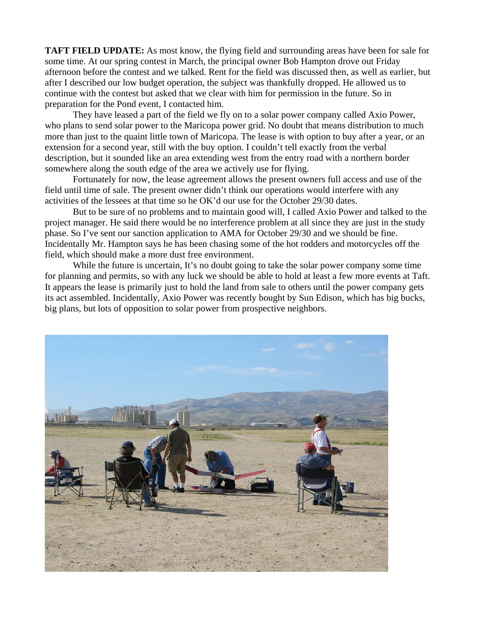**TAFT FIELD UPDATE:** As most know, the flying field and surrounding areas have been for sale for some time. At our spring contest in March, the principal owner Bob Hampton drove out Friday afternoon before the contest and we talked. Rent for the field was discussed then, as well as earlier, but after I described our low budget operation, the subject was thankfully dropped. He allowed us to continue with the contest but asked that we clear with him for permission in the future. So in preparation for the Pond event, I contacted him.

 They have leased a part of the field we fly on to a solar power company called Axio Power, who plans to send solar power to the Maricopa power grid. No doubt that means distribution to much more than just to the quaint little town of Maricopa. The lease is with option to buy after a year, or an extension for a second year, still with the buy option. I couldn't tell exactly from the verbal description, but it sounded like an area extending west from the entry road with a northern border somewhere along the south edge of the area we actively use for flying.

 Fortunately for now, the lease agreement allows the present owners full access and use of the field until time of sale. The present owner didn't think our operations would interfere with any activities of the lessees at that time so he OK'd our use for the October 29/30 dates.

But to be sure of no problems and to maintain good will, I called Axio Power and talked to the project manager. He said there would be no interference problem at all since they are just in the study phase. So I've sent our sanction application to AMA for October 29/30 and we should be fine. Incidentally Mr. Hampton says he has been chasing some of the hot rodders and motorcycles off the field, which should make a more dust free environment.

While the future is uncertain, It's no doubt going to take the solar power company some time for planning and permits, so with any luck we should be able to hold at least a few more events at Taft. It appears the lease is primarily just to hold the land from sale to others until the power company gets its act assembled. Incidentally, Axio Power was recently bought by Sun Edison, which has big bucks, big plans, but lots of opposition to solar power from prospective neighbors.

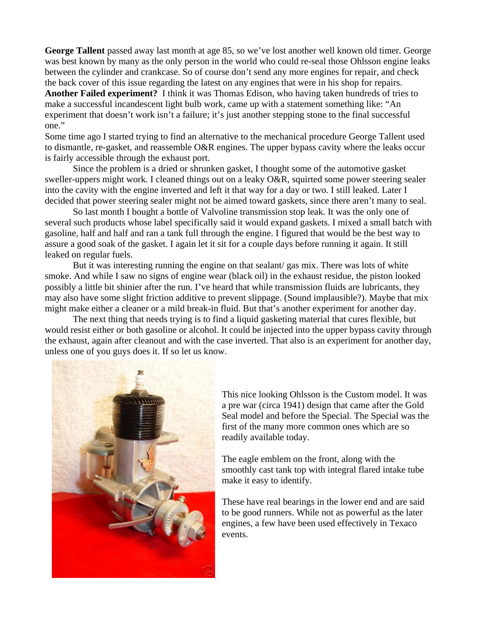**George Tallent** passed away last month at age 85, so we've lost another well known old timer. George was best known by many as the only person in the world who could re-seal those Ohlsson engine leaks between the cylinder and crankcase. So of course don't send any more engines for repair, and check the back cover of this issue regarding the latest on any engines that were in his shop for repairs. **Another Failed experiment?** I think it was Thomas Edison, who having taken hundreds of tries to make a successful incandescent light bulb work, came up with a statement something like: "An experiment that doesn't work isn't a failure; it's just another stepping stone to the final successful one."

Some time ago I started trying to find an alternative to the mechanical procedure George Tallent used to dismantle, re-gasket, and reassemble O&R engines. The upper bypass cavity where the leaks occur is fairly accessible through the exhaust port.

Since the problem is a dried or shrunken gasket, I thought some of the automotive gasket sweller-uppers might work. I cleaned things out on a leaky O&R, squirted some power steering sealer into the cavity with the engine inverted and left it that way for a day or two. I still leaked. Later I decided that power steering sealer might not be aimed toward gaskets, since there aren't many to seal.

So last month I bought a bottle of Valvoline transmission stop leak. It was the only one of several such products whose label specifically said it would expand gaskets. I mixed a small batch with gasoline, half and half and ran a tank full through the engine. I figured that would be the best way to assure a good soak of the gasket. I again let it sit for a couple days before running it again. It still leaked on regular fuels.

But it was interesting running the engine on that sealant/ gas mix. There was lots of white smoke. And while I saw no signs of engine wear (black oil) in the exhaust residue, the piston looked possibly a little bit shinier after the run. I've heard that while transmission fluids are lubricants, they may also have some slight friction additive to prevent slippage. (Sound implausible?). Maybe that mix might make either a cleaner or a mild break-in fluid. But that's another experiment for another day.

The next thing that needs trying is to find a liquid gasketing material that cures flexible, but would resist either or both gasoline or alcohol. It could be injected into the upper bypass cavity through the exhaust, again after cleanout and with the case inverted. That also is an experiment for another day, unless one of you guys does it. If so let us know.



This nice looking Ohlsson is the Custom model. It was a pre war (circa 1941) design that came after the Gold Seal model and before the Special. The Special was the first of the many more common ones which are so readily available today.

The eagle emblem on the front, along with the smoothly cast tank top with integral flared intake tube make it easy to identify.

These have real bearings in the lower end and are said to be good runners. While not as powerful as the later engines, a few have been used effectively in Texaco events.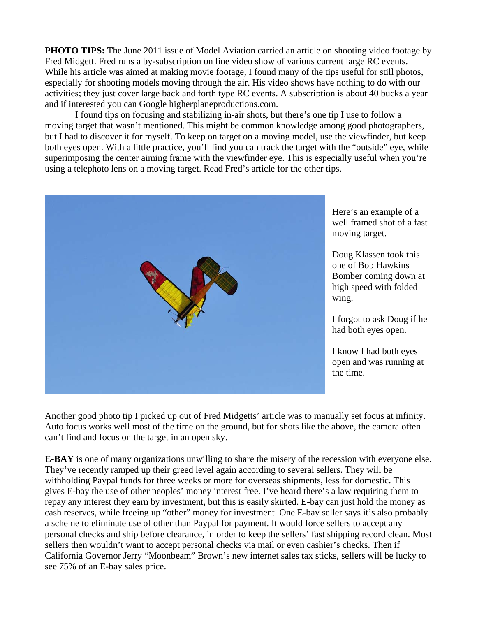**PHOTO TIPS:** The June 2011 issue of Model Aviation carried an article on shooting video footage by Fred Midgett. Fred runs a by-subscription on line video show of various current large RC events. While his article was aimed at making movie footage, I found many of the tips useful for still photos, especially for shooting models moving through the air. His video shows have nothing to do with our activities; they just cover large back and forth type RC events. A subscription is about 40 bucks a year and if interested you can Google higherplaneproductions.com.

 I found tips on focusing and stabilizing in-air shots, but there's one tip I use to follow a moving target that wasn't mentioned. This might be common knowledge among good photographers, but I had to discover it for myself. To keep on target on a moving model, use the viewfinder, but keep both eyes open. With a little practice, you'll find you can track the target with the "outside" eye, while superimposing the center aiming frame with the viewfinder eye. This is especially useful when you're using a telephoto lens on a moving target. Read Fred's article for the other tips.



Here's an example of a well framed shot of a fast moving target.

Doug Klassen took this one of Bob Hawkins Bomber coming down at high speed with folded wing.

I forgot to ask Doug if he had both eyes open.

I know I had both eyes open and was running at the time.

Another good photo tip I picked up out of Fred Midgetts' article was to manually set focus at infinity. Auto focus works well most of the time on the ground, but for shots like the above, the camera often can't find and focus on the target in an open sky.

**E-BAY** is one of many organizations unwilling to share the misery of the recession with everyone else. They've recently ramped up their greed level again according to several sellers. They will be withholding Paypal funds for three weeks or more for overseas shipments, less for domestic. This gives E-bay the use of other peoples' money interest free. I've heard there's a law requiring them to repay any interest they earn by investment, but this is easily skirted. E-bay can just hold the money as cash reserves, while freeing up "other" money for investment. One E-bay seller says it's also probably a scheme to eliminate use of other than Paypal for payment. It would force sellers to accept any personal checks and ship before clearance, in order to keep the sellers' fast shipping record clean. Most sellers then wouldn't want to accept personal checks via mail or even cashier's checks. Then if California Governor Jerry "Moonbeam" Brown's new internet sales tax sticks, sellers will be lucky to see 75% of an E-bay sales price.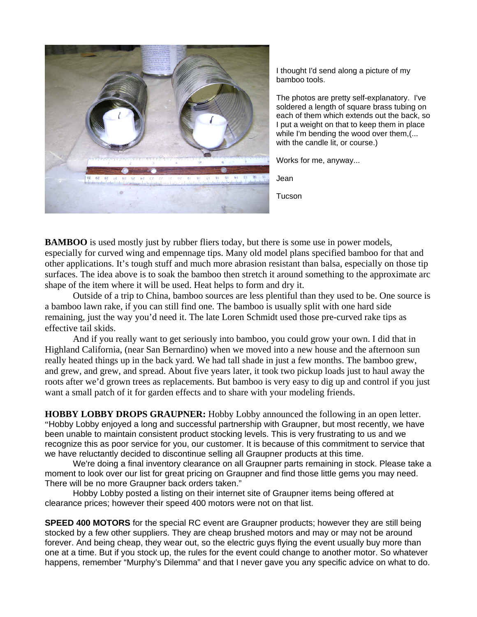

I thought I'd send along a picture of my bamboo tools.

The photos are pretty self-explanatory. I've soldered a length of square brass tubing on each of them which extends out the back, so I put a weight on that to keep them in place while I'm bending the wood over them,(... with the candle lit, or course.)

Works for me, anyway...

Jean

**Tucson** 

**BAMBOO** is used mostly just by rubber fliers today, but there is some use in power models, especially for curved wing and empennage tips. Many old model plans specified bamboo for that and other applications. It's tough stuff and much more abrasion resistant than balsa, especially on those tip surfaces. The idea above is to soak the bamboo then stretch it around something to the approximate arc shape of the item where it will be used. Heat helps to form and dry it.

Outside of a trip to China, bamboo sources are less plentiful than they used to be. One source is a bamboo lawn rake, if you can still find one. The bamboo is usually split with one hard side remaining, just the way you'd need it. The late Loren Schmidt used those pre-curved rake tips as effective tail skids.

And if you really want to get seriously into bamboo, you could grow your own. I did that in Highland California, (near San Bernardino) when we moved into a new house and the afternoon sun really heated things up in the back yard. We had tall shade in just a few months. The bamboo grew, and grew, and grew, and spread. About five years later, it took two pickup loads just to haul away the roots after we'd grown trees as replacements. But bamboo is very easy to dig up and control if you just want a small patch of it for garden effects and to share with your modeling friends.

**HOBBY LOBBY DROPS GRAUPNER:** Hobby Lobby announced the following in an open letter. "Hobby Lobby enjoyed a long and successful partnership with Graupner, but most recently, we have been unable to maintain consistent product stocking levels. This is very frustrating to us and we recognize this as poor service for you, our customer. It is because of this commitment to service that we have reluctantly decided to discontinue selling all Graupner products at this time.

 We're doing a final inventory clearance on all Graupner parts remaining in stock. Please take a moment to look over our list for great pricing on Graupner and find those little gems you may need. There will be no more Graupner back orders taken."

Hobby Lobby posted a listing on their internet site of Graupner items being offered at clearance prices; however their speed 400 motors were not on that list.

**SPEED 400 MOTORS** for the special RC event are Graupner products; however they are still being stocked by a few other suppliers. They are cheap brushed motors and may or may not be around forever. And being cheap, they wear out, so the electric guys flying the event usually buy more than one at a time. But if you stock up, the rules for the event could change to another motor. So whatever happens, remember "Murphy's Dilemma" and that I never gave you any specific advice on what to do.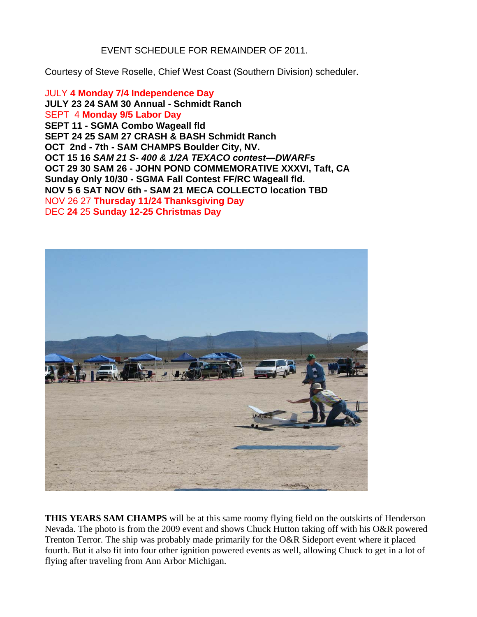EVENT SCHEDULE FOR REMAINDER OF 2011.

Courtesy of Steve Roselle, Chief West Coast (Southern Division) scheduler.

JULY **4 Monday 7/4 Independence Day JULY 23 24 SAM 30 Annual - Schmidt Ranch**  SEPT 4 **Monday 9/5 Labor Day SEPT 11 - SGMA Combo Wageall fld SEPT 24 25 SAM 27 CRASH & BASH Schmidt Ranch OCT 2nd - 7th - SAM CHAMPS Boulder City, NV. OCT 15 16** *SAM 21 S- 400 & 1/2A TEXACO contest—DWARFs*  **OCT 29 30 SAM 26 - JOHN POND COMMEMORATIVE XXXVI, Taft, CA Sunday Only 10/30 - SGMA Fall Contest FF/RC Wageall fld. NOV 5 6 SAT NOV 6th - SAM 21 MECA COLLECTO location TBD**  NOV 26 27 **Thursday 11/24 Thanksgiving Day**  DEC **24** 25 **Sunday 12-25 Christmas Day** 



**THIS YEARS SAM CHAMPS** will be at this same roomy flying field on the outskirts of Henderson Nevada. The photo is from the 2009 event and shows Chuck Hutton taking off with his O&R powered Trenton Terror. The ship was probably made primarily for the O&R Sideport event where it placed fourth. But it also fit into four other ignition powered events as well, allowing Chuck to get in a lot of flying after traveling from Ann Arbor Michigan.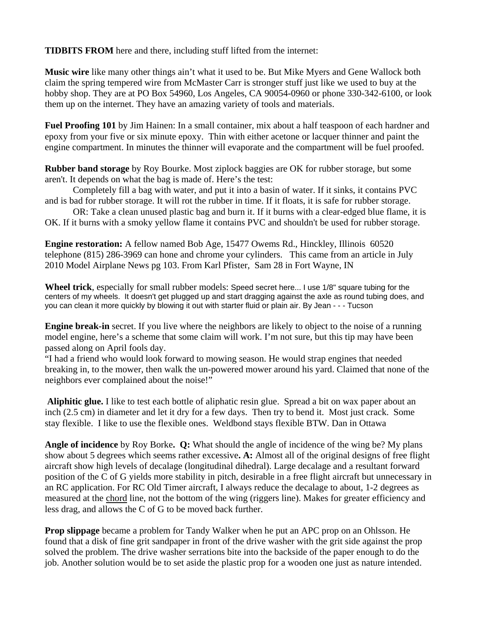**TIDBITS FROM** here and there, including stuff lifted from the internet:

**Music wire** like many other things ain't what it used to be. But Mike Myers and Gene Wallock both claim the spring tempered wire from McMaster Carr is stronger stuff just like we used to buy at the hobby shop. They are at PO Box 54960, Los Angeles, CA 90054-0960 or phone 330-342-6100, or look them up on the internet. They have an amazing variety of tools and materials.

**Fuel Proofing 101** by Jim Hainen: In a small container, mix about a half teaspoon of each hardner and epoxy from your five or six minute epoxy. Thin with either acetone or lacquer thinner and paint the engine compartment. In minutes the thinner will evaporate and the compartment will be fuel proofed.

**Rubber band storage** by Roy Bourke. Most ziplock baggies are OK for rubber storage, but some aren't. It depends on what the bag is made of. Here's the test:

Completely fill a bag with water, and put it into a basin of water. If it sinks, it contains PVC and is bad for rubber storage. It will rot the rubber in time. If it floats, it is safe for rubber storage.

OR: Take a clean unused plastic bag and burn it. If it burns with a clear-edged blue flame, it is OK. If it burns with a smoky yellow flame it contains PVC and shouldn't be used for rubber storage.

**Engine restoration:** A fellow named Bob Age, 15477 Owems Rd., Hinckley, Illinois 60520 telephone (815) 286-3969 can hone and chrome your cylinders. This came from an article in July 2010 Model Airplane News pg 103. From Karl Pfister, Sam 28 in Fort Wayne, IN

**Wheel trick**, especially for small rubber models: Speed secret here... I use 1/8" square tubing for the centers of my wheels. It doesn't get plugged up and start dragging against the axle as round tubing does, and you can clean it more quickly by blowing it out with starter fluid or plain air. By Jean - - - Tucson

**Engine break-in** secret. If you live where the neighbors are likely to object to the noise of a running model engine, here's a scheme that some claim will work. I'm not sure, but this tip may have been passed along on April fools day.

"I had a friend who would look forward to mowing season. He would strap engines that needed breaking in, to the mower, then walk the un-powered mower around his yard. Claimed that none of the neighbors ever complained about the noise!"

 **Aliphitic glue.** I like to test each bottle of aliphatic resin glue. Spread a bit on wax paper about an inch (2.5 cm) in diameter and let it dry for a few days. Then try to bend it. Most just crack. Some stay flexible. I like to use the flexible ones. Weldbond stays flexible BTW. Dan in Ottawa

**Angle of incidence** by Roy Borke**. Q:** What should the angle of incidence of the wing be? My plans show about 5 degrees which seems rather excessive**. A:** Almost all of the original designs of free flight aircraft show high levels of decalage (longitudinal dihedral). Large decalage and a resultant forward position of the C of G yields more stability in pitch, desirable in a free flight aircraft but unnecessary in an RC application. For RC Old Timer aircraft, I always reduce the decalage to about, 1-2 degrees as measured at the chord line, not the bottom of the wing (riggers line). Makes for greater efficiency and less drag, and allows the C of G to be moved back further.

**Prop slippage** became a problem for Tandy Walker when he put an APC prop on an Ohlsson. He found that a disk of fine grit sandpaper in front of the drive washer with the grit side against the prop solved the problem. The drive washer serrations bite into the backside of the paper enough to do the job. Another solution would be to set aside the plastic prop for a wooden one just as nature intended.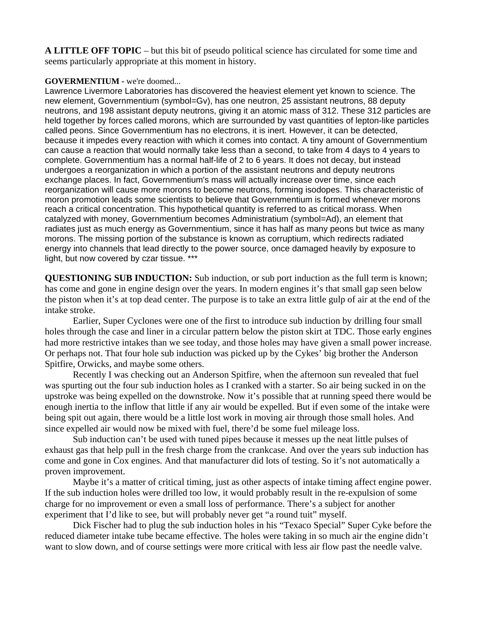**A LITTLE OFF TOPIC** – but this bit of pseudo political science has circulated for some time and seems particularly appropriate at this moment in history.

## **GOVERMENTIUM -** we're doomed...

Lawrence Livermore Laboratories has discovered the heaviest element yet known to science. The new element, Governmentium (symbol=Gv), has one neutron, 25 assistant neutrons, 88 deputy neutrons, and 198 assistant deputy neutrons, giving it an atomic mass of 312. These 312 particles are held together by forces called morons, which are surrounded by vast quantities of lepton-like particles called peons. Since Governmentium has no electrons, it is inert. However, it can be detected, because it impedes every reaction with which it comes into contact. A tiny amount of Governmentium can cause a reaction that would normally take less than a second, to take from 4 days to 4 years to complete. Governmentium has a normal half-life of 2 to 6 years. It does not decay, but instead undergoes a reorganization in which a portion of the assistant neutrons and deputy neutrons exchange places. In fact, Governmentium's mass will actually increase over time, since each reorganization will cause more morons to become neutrons, forming isodopes. This characteristic of moron promotion leads some scientists to believe that Governmentium is formed whenever morons reach a critical concentration. This hypothetical quantity is referred to as critical morass. When catalyzed with money, Governmentium becomes Administratium (symbol=Ad), an element that radiates just as much energy as Governmentium, since it has half as many peons but twice as many morons. The missing portion of the substance is known as corruptium, which redirects radiated energy into channels that lead directly to the power source, once damaged heavily by exposure to light, but now covered by czar tissue. \*\*\*

**QUESTIONING SUB INDUCTION:** Sub induction, or sub port induction as the full term is known; has come and gone in engine design over the years. In modern engines it's that small gap seen below the piston when it's at top dead center. The purpose is to take an extra little gulp of air at the end of the intake stroke.

Earlier, Super Cyclones were one of the first to introduce sub induction by drilling four small holes through the case and liner in a circular pattern below the piston skirt at TDC. Those early engines had more restrictive intakes than we see today, and those holes may have given a small power increase. Or perhaps not. That four hole sub induction was picked up by the Cykes' big brother the Anderson Spitfire, Orwicks, and maybe some others.

Recently I was checking out an Anderson Spitfire, when the afternoon sun revealed that fuel was spurting out the four sub induction holes as I cranked with a starter. So air being sucked in on the upstroke was being expelled on the downstroke. Now it's possible that at running speed there would be enough inertia to the inflow that little if any air would be expelled. But if even some of the intake were being spit out again, there would be a little lost work in moving air through those small holes. And since expelled air would now be mixed with fuel, there'd be some fuel mileage loss.

Sub induction can't be used with tuned pipes because it messes up the neat little pulses of exhaust gas that help pull in the fresh charge from the crankcase. And over the years sub induction has come and gone in Cox engines. And that manufacturer did lots of testing. So it's not automatically a proven improvement.

Maybe it's a matter of critical timing, just as other aspects of intake timing affect engine power. If the sub induction holes were drilled too low, it would probably result in the re-expulsion of some charge for no improvement or even a small loss of performance. There's a subject for another experiment that I'd like to see, but will probably never get "a round tuit" myself.

 Dick Fischer had to plug the sub induction holes in his "Texaco Special" Super Cyke before the reduced diameter intake tube became effective. The holes were taking in so much air the engine didn't want to slow down, and of course settings were more critical with less air flow past the needle valve.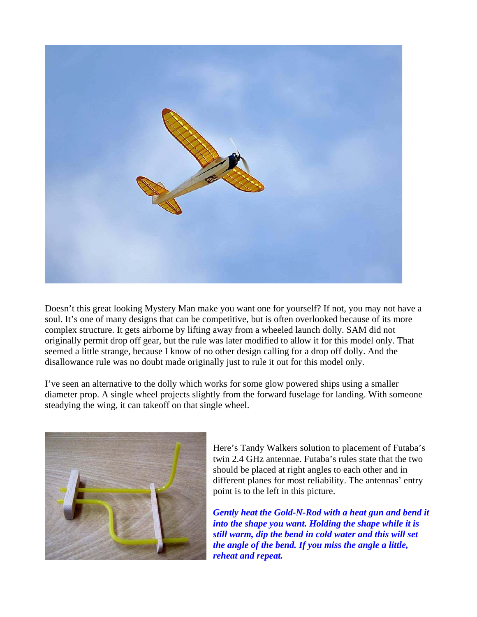

Doesn't this great looking Mystery Man make you want one for yourself? If not, you may not have a soul. It's one of many designs that can be competitive, but is often overlooked because of its more complex structure. It gets airborne by lifting away from a wheeled launch dolly. SAM did not originally permit drop off gear, but the rule was later modified to allow it for this model only. That seemed a little strange, because I know of no other design calling for a drop off dolly. And the disallowance rule was no doubt made originally just to rule it out for this model only.

I've seen an alternative to the dolly which works for some glow powered ships using a smaller diameter prop. A single wheel projects slightly from the forward fuselage for landing. With someone steadying the wing, it can takeoff on that single wheel.



Here's Tandy Walkers solution to placement of Futaba's twin 2.4 GHz antennae. Futaba's rules state that the two should be placed at right angles to each other and in different planes for most reliability. The antennas' entry point is to the left in this picture.

*Gently heat the Gold-N-Rod with a heat gun and bend it into the shape you want. Holding the shape while it is still warm, dip the bend in cold water and this will set the angle of the bend. If you miss the angle a little, reheat and repeat.*